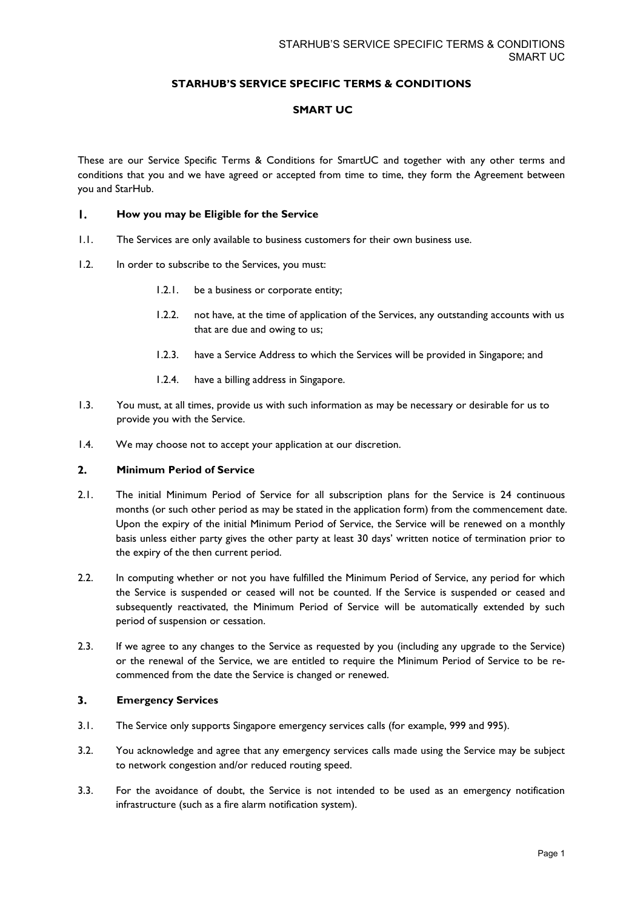# **STARHUB'S SERVICE SPECIFIC TERMS & CONDITIONS**

# **SMART UC**

These are our Service Specific Terms & Conditions for SmartUC and together with any other terms and conditions that you and we have agreed or accepted from time to time, they form the Agreement between you and StarHub.

#### $\mathbf{I}$ . **How you may be Eligible for the Service**

- 1.1. The Services are only available to business customers for their own business use.
- 1.2. In order to subscribe to the Services, you must:
	- 1.2.1. be a business or corporate entity;
	- 1.2.2. not have, at the time of application of the Services, any outstanding accounts with us that are due and owing to us;
	- 1.2.3. have a Service Address to which the Services will be provided in Singapore; and
	- 1.2.4. have a billing address in Singapore.
- 1.3. You must, at all times, provide us with such information as may be necessary or desirable for us to provide you with the Service.
- 1.4. We may choose not to accept your application at our discretion.

#### $2.$ **Minimum Period of Service**

- 2.1. The initial Minimum Period of Service for all subscription plans for the Service is 24 continuous months (or such other period as may be stated in the application form) from the commencement date. Upon the expiry of the initial Minimum Period of Service, the Service will be renewed on a monthly basis unless either party gives the other party at least 30 days' written notice of termination prior to the expiry of the then current period.
- 2.2. In computing whether or not you have fulfilled the Minimum Period of Service, any period for which the Service is suspended or ceased will not be counted. If the Service is suspended or ceased and subsequently reactivated, the Minimum Period of Service will be automatically extended by such period of suspension or cessation.
- 2.3. If we agree to any changes to the Service as requested by you (including any upgrade to the Service) or the renewal of the Service, we are entitled to require the Minimum Period of Service to be recommenced from the date the Service is changed or renewed.

#### $3.$ **Emergency Services**

- 3.1. The Service only supports Singapore emergency services calls (for example, 999 and 995).
- 3.2. You acknowledge and agree that any emergency services calls made using the Service may be subject to network congestion and/or reduced routing speed.
- 3.3. For the avoidance of doubt, the Service is not intended to be used as an emergency notification infrastructure (such as a fire alarm notification system).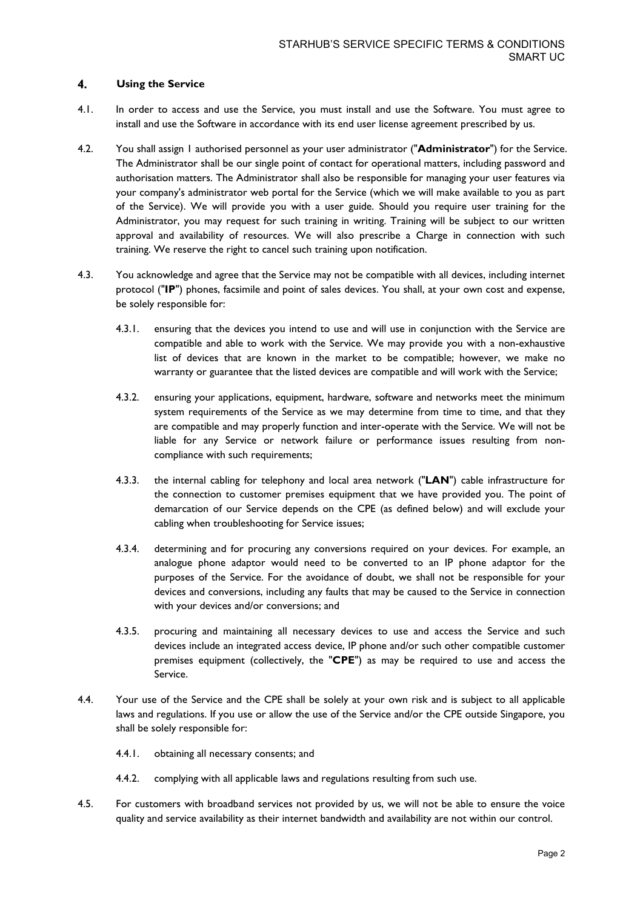### 4. **Using the Service**

- 4.1. In order to access and use the Service, you must install and use the Software. You must agree to install and use the Software in accordance with its end user license agreement prescribed by us.
- 4.2. You shall assign 1 authorised personnel as your user administrator ("**Administrator**") for the Service. The Administrator shall be our single point of contact for operational matters, including password and authorisation matters. The Administrator shall also be responsible for managing your user features via your company's administrator web portal for the Service (which we will make available to you as part of the Service). We will provide you with a user guide. Should you require user training for the Administrator, you may request for such training in writing. Training will be subject to our written approval and availability of resources. We will also prescribe a Charge in connection with such training. We reserve the right to cancel such training upon notification.
- 4.3. You acknowledge and agree that the Service may not be compatible with all devices, including internet protocol ("**IP**") phones, facsimile and point of sales devices. You shall, at your own cost and expense, be solely responsible for:
	- 4.3.1. ensuring that the devices you intend to use and will use in conjunction with the Service are compatible and able to work with the Service. We may provide you with a non-exhaustive list of devices that are known in the market to be compatible; however, we make no warranty or guarantee that the listed devices are compatible and will work with the Service;
	- 4.3.2. ensuring your applications, equipment, hardware, software and networks meet the minimum system requirements of the Service as we may determine from time to time, and that they are compatible and may properly function and inter-operate with the Service. We will not be liable for any Service or network failure or performance issues resulting from noncompliance with such requirements;
	- 4.3.3. the internal cabling for telephony and local area network ("**LAN**") cable infrastructure for the connection to customer premises equipment that we have provided you. The point of demarcation of our Service depends on the CPE (as defined below) and will exclude your cabling when troubleshooting for Service issues;
	- 4.3.4. determining and for procuring any conversions required on your devices. For example, an analogue phone adaptor would need to be converted to an IP phone adaptor for the purposes of the Service. For the avoidance of doubt, we shall not be responsible for your devices and conversions, including any faults that may be caused to the Service in connection with your devices and/or conversions; and
	- 4.3.5. procuring and maintaining all necessary devices to use and access the Service and such devices include an integrated access device, IP phone and/or such other compatible customer premises equipment (collectively, the "**CPE**") as may be required to use and access the Service.
- 4.4. Your use of the Service and the CPE shall be solely at your own risk and is subject to all applicable laws and regulations. If you use or allow the use of the Service and/or the CPE outside Singapore, you shall be solely responsible for:
	- 4.4.1. obtaining all necessary consents; and
	- 4.4.2. complying with all applicable laws and regulations resulting from such use.
- 4.5. For customers with broadband services not provided by us, we will not be able to ensure the voice quality and service availability as their internet bandwidth and availability are not within our control.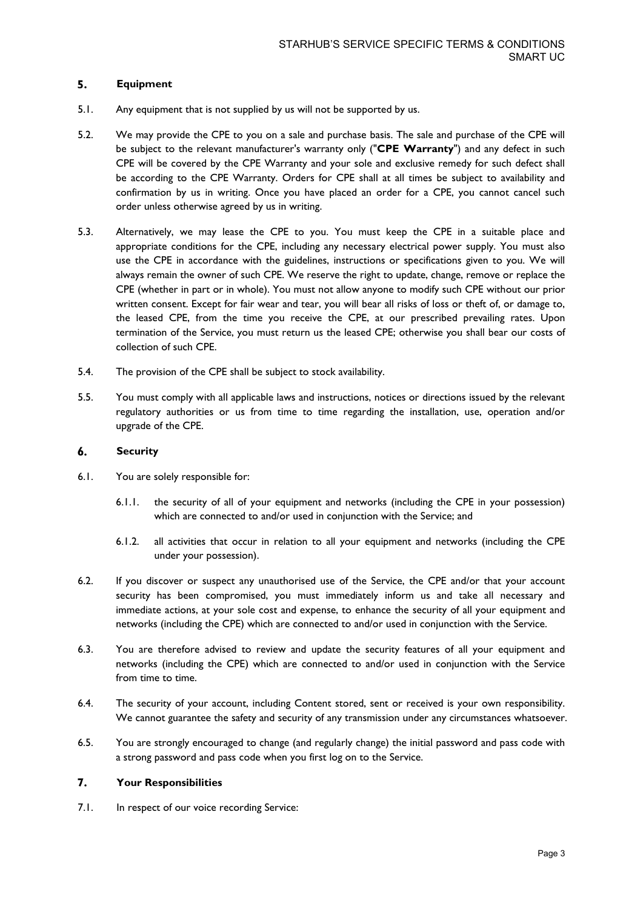## 5. **Equipment**

- 5.1. Any equipment that is not supplied by us will not be supported by us.
- 5.2. We may provide the CPE to you on a sale and purchase basis. The sale and purchase of the CPE will be subject to the relevant manufacturer's warranty only ("**CPE Warranty**") and any defect in such CPE will be covered by the CPE Warranty and your sole and exclusive remedy for such defect shall be according to the CPE Warranty. Orders for CPE shall at all times be subject to availability and confirmation by us in writing. Once you have placed an order for a CPE, you cannot cancel such order unless otherwise agreed by us in writing.
- 5.3. Alternatively, we may lease the CPE to you. You must keep the CPE in a suitable place and appropriate conditions for the CPE, including any necessary electrical power supply. You must also use the CPE in accordance with the guidelines, instructions or specifications given to you. We will always remain the owner of such CPE. We reserve the right to update, change, remove or replace the CPE (whether in part or in whole). You must not allow anyone to modify such CPE without our prior written consent. Except for fair wear and tear, you will bear all risks of loss or theft of, or damage to, the leased CPE, from the time you receive the CPE, at our prescribed prevailing rates. Upon termination of the Service, you must return us the leased CPE; otherwise you shall bear our costs of collection of such CPE.
- 5.4. The provision of the CPE shall be subject to stock availability.
- 5.5. You must comply with all applicable laws and instructions, notices or directions issued by the relevant regulatory authorities or us from time to time regarding the installation, use, operation and/or upgrade of the CPE.

#### 6. **Security**

- 6.1. You are solely responsible for:
	- 6.1.1. the security of all of your equipment and networks (including the CPE in your possession) which are connected to and/or used in conjunction with the Service; and
	- 6.1.2. all activities that occur in relation to all your equipment and networks (including the CPE under your possession).
- 6.2. If you discover or suspect any unauthorised use of the Service, the CPE and/or that your account security has been compromised, you must immediately inform us and take all necessary and immediate actions, at your sole cost and expense, to enhance the security of all your equipment and networks (including the CPE) which are connected to and/or used in conjunction with the Service.
- 6.3. You are therefore advised to review and update the security features of all your equipment and networks (including the CPE) which are connected to and/or used in conjunction with the Service from time to time.
- 6.4. The security of your account, including Content stored, sent or received is your own responsibility. We cannot guarantee the safety and security of any transmission under any circumstances whatsoever.
- 6.5. You are strongly encouraged to change (and regularly change) the initial password and pass code with a strong password and pass code when you first log on to the Service.

### 7. **Your Responsibilities**

7.1. In respect of our voice recording Service: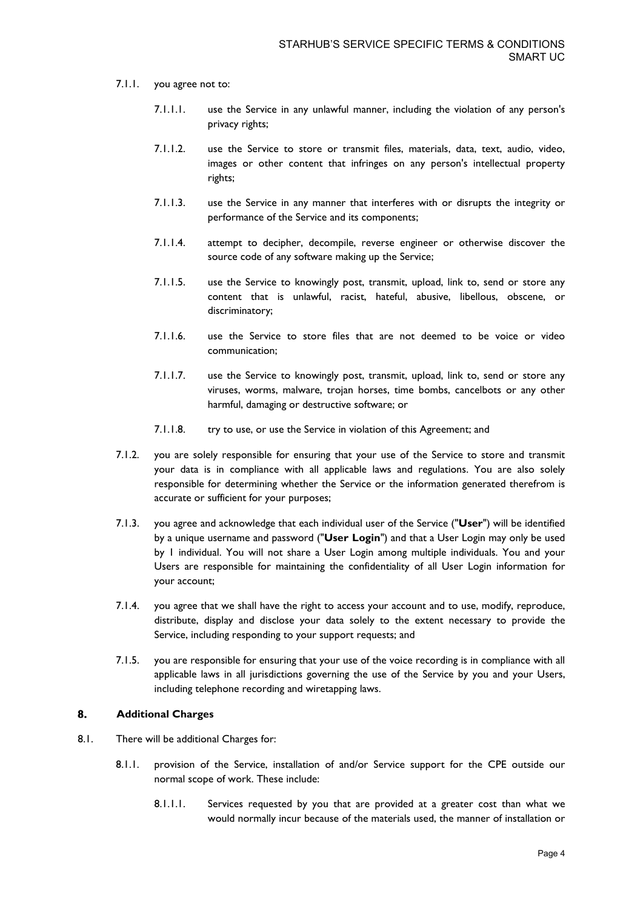- 7.1.1. you agree not to:
	- 7.1.1.1. use the Service in any unlawful manner, including the violation of any person's privacy rights;
	- 7.1.1.2. use the Service to store or transmit files, materials, data, text, audio, video, images or other content that infringes on any person's intellectual property rights;
	- 7.1.1.3. use the Service in any manner that interferes with or disrupts the integrity or performance of the Service and its components;
	- 7.1.1.4. attempt to decipher, decompile, reverse engineer or otherwise discover the source code of any software making up the Service;
	- 7.1.1.5. use the Service to knowingly post, transmit, upload, link to, send or store any content that is unlawful, racist, hateful, abusive, libellous, obscene, or discriminatory;
	- 7.1.1.6. use the Service to store files that are not deemed to be voice or video communication;
	- 7.1.1.7. use the Service to knowingly post, transmit, upload, link to, send or store any viruses, worms, malware, trojan horses, time bombs, cancelbots or any other harmful, damaging or destructive software; or
	- 7.1.1.8. try to use, or use the Service in violation of this Agreement; and
- 7.1.2. you are solely responsible for ensuring that your use of the Service to store and transmit your data is in compliance with all applicable laws and regulations. You are also solely responsible for determining whether the Service or the information generated therefrom is accurate or sufficient for your purposes;
- 7.1.3. you agree and acknowledge that each individual user of the Service ("**User**") will be identified by a unique username and password ("**User Login**") and that a User Login may only be used by 1 individual. You will not share a User Login among multiple individuals. You and your Users are responsible for maintaining the confidentiality of all User Login information for your account;
- 7.1.4. you agree that we shall have the right to access your account and to use, modify, reproduce, distribute, display and disclose your data solely to the extent necessary to provide the Service, including responding to your support requests; and
- 7.1.5. you are responsible for ensuring that your use of the voice recording is in compliance with all applicable laws in all jurisdictions governing the use of the Service by you and your Users, including telephone recording and wiretapping laws.

## 8. **Additional Charges**

- 8.1. There will be additional Charges for:
	- 8.1.1. provision of the Service, installation of and/or Service support for the CPE outside our normal scope of work. These include:
		- 8.1.1.1. Services requested by you that are provided at a greater cost than what we would normally incur because of the materials used, the manner of installation or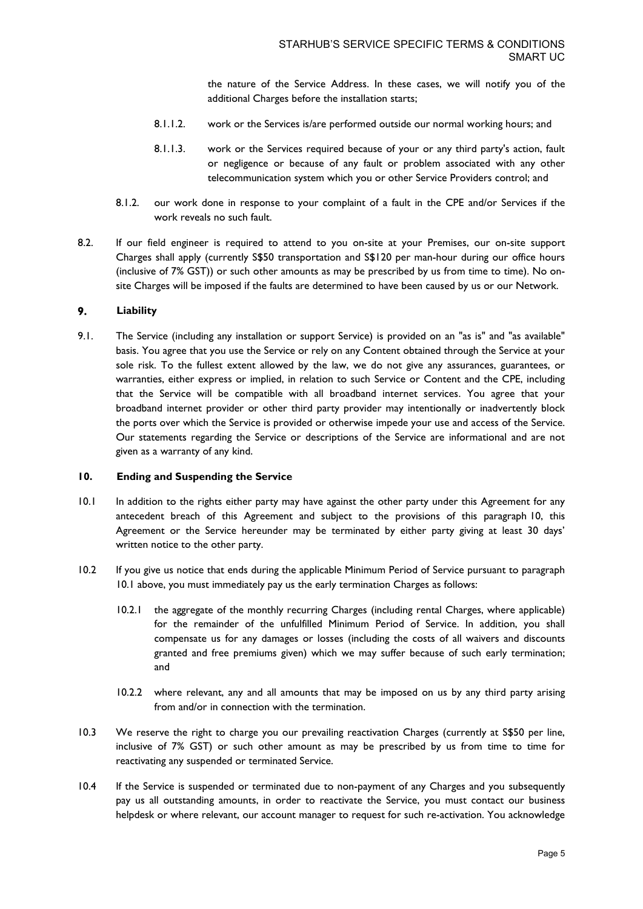the nature of the Service Address. In these cases, we will notify you of the additional Charges before the installation starts;

- 8.1.1.2. work or the Services is/are performed outside our normal working hours; and
- 8.1.1.3. work or the Services required because of your or any third party's action, fault or negligence or because of any fault or problem associated with any other telecommunication system which you or other Service Providers control; and
- 8.1.2. our work done in response to your complaint of a fault in the CPE and/or Services if the work reveals no such fault.
- 8.2. If our field engineer is required to attend to you on-site at your Premises, our on-site support Charges shall apply (currently S\$50 transportation and S\$120 per man-hour during our office hours (inclusive of 7% GST)) or such other amounts as may be prescribed by us from time to time). No onsite Charges will be imposed if the faults are determined to have been caused by us or our Network.

#### 9. **Liability**

9.1. The Service (including any installation or support Service) is provided on an "as is" and "as available" basis. You agree that you use the Service or rely on any Content obtained through the Service at your sole risk. To the fullest extent allowed by the law, we do not give any assurances, guarantees, or warranties, either express or implied, in relation to such Service or Content and the CPE, including that the Service will be compatible with all broadband internet services. You agree that your broadband internet provider or other third party provider may intentionally or inadvertently block the ports over which the Service is provided or otherwise impede your use and access of the Service. Our statements regarding the Service or descriptions of the Service are informational and are not given as a warranty of any kind.

## **10. Ending and Suspending the Service**

- 10.1 In addition to the rights either party may have against the other party under this Agreement for any antecedent breach of this Agreement and subject to the provisions of this paragraph 10, this Agreement or the Service hereunder may be terminated by either party giving at least 30 days' written notice to the other party.
- 10.2 If you give us notice that ends during the applicable Minimum Period of Service pursuant to paragraph 10.1 above, you must immediately pay us the early termination Charges as follows:
	- 10.2.1 the aggregate of the monthly recurring Charges (including rental Charges, where applicable) for the remainder of the unfulfilled Minimum Period of Service. In addition, you shall compensate us for any damages or losses (including the costs of all waivers and discounts granted and free premiums given) which we may suffer because of such early termination; and
	- 10.2.2 where relevant, any and all amounts that may be imposed on us by any third party arising from and/or in connection with the termination.
- 10.3 We reserve the right to charge you our prevailing reactivation Charges (currently at S\$50 per line, inclusive of 7% GST) or such other amount as may be prescribed by us from time to time for reactivating any suspended or terminated Service.
- 10.4 If the Service is suspended or terminated due to non-payment of any Charges and you subsequently pay us all outstanding amounts, in order to reactivate the Service, you must contact our business helpdesk or where relevant, our account manager to request for such re-activation. You acknowledge